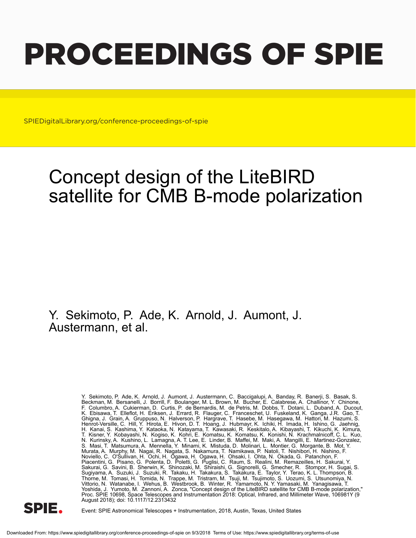# PROCEEDINGS OF SPIE

SPIEDigitalLibrary.org/conference-proceedings-of-spie

# Concept design of the LiteBIRD satellite for CMB B-mode polarization

## Y. Sekimoto, P. Ade, K. Arnold, J. Aumont, J. Austermann, et al.

Y. Sekimoto, P. Ade, K. Arnold, J. Aumont, J. Austermann, C. Baccigalupi, A. Banday, R. Banerji, S. Basak, S. Beckman, M. Bersanelli, J. Borrill, F. Boulanger, M. L. Brown, M. Bucher, E. Calabrese, A. Challinor, Y. Chinone, F. Columbro, A. Cukierman, D. Curtis, P. de Bernardis, M. de Petris, M. Dobbs, T. Dotani, L. Duband, A. Ducout, K. Ebisawa, T. Elleflot, H. Eriksen, J. Errard, R. Flauger, C. Franceschet, U. Fuskeland, K. Ganga, J.R. Gao, T. Ghigna, J. Grain, A. Gruppuso, N. Halverson, P. Hargrave, T. Hasebe, M. Hasegawa, M. Hattori, M. Hazumi, S. Henrot-Versille, C. Hill, Y. Hirota, E. Hivon, D. T. Hoang, J. Hubmayr, K. Ichiki, H. Imada, H. Ishino, G. Jaehnig, H. Kanai, S. Kashima, Y. Kataoka, N. Katayama, T. Kawasaki, R. Keskitalo, A. Kibayashi, T. Kikuchi, K. Kimura, T. Kisner, Y. Kobayashi, N. Kogiso, K. Kohri, E. Komatsu, K. Komatsu, K. Konishi, N. Krachmalnicoff, C. L. Kuo, N. Kurinsky, A. Kushino, L. Lamagna, A. T. Lee, E. Linder, B. Maffei, M. Maki, A. Mangilli, E. Martinez-Gonzalez, S. Masi, T. Matsumura, A. Mennella, Y. Minami, K. Mistuda, D. Molinari, L. Montier, G. Morgante, B. Mot, Y. Murata, A. Murphy, M. Nagai, R. Nagata, S. Nakamura, T. Namikawa, P. Natoli, T. Nishibori, H. Nishino, F. Noviello, C. O'Sullivan, H. Ochi, H. Ogawa, H. Ogawa, H. Ohsaki, I. Ohta, N. Okada, G. Patanchon, F. Piacentini, G. Pisano, G. Polenta, D. Poletti, G. Puglisi, C. Raum, S. Realini, M. Remazeilles, H. Sakurai, Y. Sakurai, G. Savini, B. Sherwin, K. Shinozaki, M. Shiraishi, G. Signorelli, G. Smecher, R. Stompor, H. Sugai, S. Sugiyama, A. Suzuki, J. Suzuki, R. Takaku, H. Takakura, S. Takakura, E. Taylor, Y. Terao, K. L. Thompson, B. Thorne, M. Tomasi, H. Tomida, N. Trappe, M. Tristram, M. Tsuji, M. Tsujimoto, S. Uozumi, S. Utsunomiya, N. Vittorio, N. Watanabe, I. Wehus, B. Westbrook, B. Winter, R. Yamamoto, N. Y. Yamasaki, M. Yanagisawa, T. Yoshida, J. Yumoto, M. Zannoni, A. Zonca, "Concept design of the LiteBIRD satellite for CMB B-mode polarization," Proc. SPIE 10698, Space Telescopes and Instrumentation 2018: Optical, Infrared, and Millimeter Wave, 106981Y (9 August 2018); doi: 10.1117/12.2313432



Event: SPIE Astronomical Telescopes + Instrumentation, 2018, Austin, Texas, United States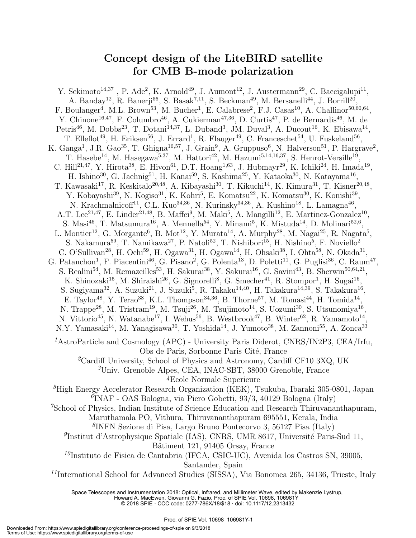### **Concept design of the LiteBIRD satellite for CMB B-mode polarization**

Y. Sekimoto<sup>14,37</sup>, P. Ade<sup>2</sup>, K. Arnold<sup>49</sup>, J. Aumont<sup>12</sup>, J. Austermann<sup>29</sup>, C. Baccigalupi<sup>11</sup>, A. Banday<sup>12</sup>, R. Banerji<sup>56</sup>, S. Basak<sup>7,11</sup>, S. Beckman<sup>49</sup>, M. Bersanelli<sup>44</sup>, J. Borrill<sup>20</sup>, F. Boulanger<sup>4</sup>, M.L. Brown<sup>53</sup>, M. Bucher<sup>1</sup>, E. Calabrese<sup>2</sup>, F.J. Casas<sup>10</sup>, A. Challinor<sup>50,60,64</sup>, Y. Chinone<sup>16,47</sup>, F. Columbro<sup>46</sup>, A. Cukierman<sup>47,36</sup>, D. Curtis<sup>47</sup>, P. de Bernardis<sup>46</sup>, M. de Petris<sup>46</sup>, M. Dobbs<sup>23</sup>, T. Dotani<sup>14,37</sup>, L. Duband<sup>3</sup>, JM. Duval<sup>3</sup>, A. Ducout<sup>16</sup>, K. Ebisawa<sup>14</sup>, T. Elleflot<sup>49</sup>, H. Eriksen<sup>56</sup>, J. Errard<sup>1</sup>, R. Flauger<sup>49</sup>, C. Franceschet<sup>54</sup>, U. Fuskeland<sup>56</sup>, K. Ganga<sup>1</sup>, J.R. Gao<sup>35</sup>, T. Ghigna<sup>16,57</sup>, J. Grain<sup>9</sup>, A. Gruppuso<sup>6</sup>, N. Halverson<sup>51</sup>, P. Hargrave<sup>2</sup>, T. Hasebe<sup>14</sup>, M. Hasegawa<sup>5,37</sup>, M. Hattori<sup>42</sup>, M. Hazumi<sup>5,14,16,37</sup>, S. Henrot-Versille<sup>19</sup>, C. Hill<sup>21,47</sup>, Y. Hirota<sup>38</sup>, E. Hivon<sup>61</sup>, D.T. Hoang<sup>1,63</sup>, J. Hubmayr<sup>29</sup>, K. Ichiki<sup>24</sup>, H. Imada<sup>19</sup>, H. Ishino<sup>30</sup>, G. Jaehnig<sup>51</sup>, H. Kanai<sup>59</sup>, S. Kashima<sup>25</sup>, Y. Kataoka<sup>30</sup>, N. Katayama<sup>16</sup>, T. Kawasaki<sup>17</sup>, R. Keskitalo<sup>20,48</sup>, A. Kibayashi<sup>30</sup>, T. Kikuchi<sup>14</sup>, K. Kimura<sup>31</sup>, T. Kisner<sup>20,48</sup>, Y. Kobayashi<sup>39</sup>, N. Kogiso<sup>31</sup>, K. Kohri<sup>5</sup>, E. Komatsu<sup>22</sup>, K. Komatsu<sup>30</sup>, K. Konishi<sup>39</sup>, N. Krachmalnicoff<sup>11</sup>, C.L. Kuo<sup>34,36</sup>, N. Kurinsky<sup>34,36</sup>, A. Kushino<sup>18</sup>, L. Lamagna<sup>46</sup>, A.T. Lee<sup>21,47</sup>, E. Linder<sup>21,48</sup>, B. Maffei<sup>9</sup>, M. Maki<sup>5</sup>, A. Mangilli<sup>12</sup>, E. Martinez-Gonzalez<sup>10</sup>, S. Masi<sup>46</sup>, T. Matsumura<sup>16</sup>, A. Mennella<sup>54</sup>, Y. Minami<sup>5</sup>, K. Mistuda<sup>14</sup>, D. Molinari<sup>52,6</sup>, L. Montier<sup>12</sup>, G. Morgante<sup>6</sup>, B. Mot<sup>12</sup>, Y. Murata<sup>14</sup>, A. Murphy<sup>28</sup>, M. Nagai<sup>25</sup>, R. Nagata<sup>5</sup>, S. Nakamura<sup>59</sup>, T. Namikawa<sup>27</sup>, P. Natoli<sup>52</sup>, T. Nishibori<sup>15</sup>, H. Nishino<sup>5</sup>, F. Noviello<sup>2</sup> C. O'Sullivan<sup>28</sup>, H. Ochi<sup>59</sup>, H. Ogawa<sup>31</sup>, H. Ogawa<sup>14</sup>, H. Ohsaki<sup>38</sup>, I. Ohta<sup>58</sup>, N. Okada<sup>31</sup>, G. Patanchon<sup>1</sup>, F. Piacentini<sup>46</sup>, G. Pisano<sup>2</sup>, G. Polenta<sup>13</sup>, D. Poletti<sup>11</sup>, G. Puglisi<sup>36</sup>, C. Raum<sup>47</sup>, S. Realini<sup>54</sup>, M. Remazeilles<sup>53</sup>, H. Sakurai<sup>38</sup>, Y. Sakurai<sup>16</sup>, G. Savini<sup>43</sup>, B. Sherwin<sup>50,64,21</sup>, K. Shinozaki<sup>15</sup>, M. Shiraishi<sup>26</sup>, G. Signorelli<sup>8</sup>, G. Smecher<sup>41</sup>, R. Stompor<sup>1</sup>, H. Sugai<sup>16</sup>, S. Sugiyama<sup>32</sup>, A. Suzuki<sup>21</sup>, J. Suzuki<sup>5</sup>, R. Takaku<sup>14,40</sup>, H. Takakura<sup>14,39</sup>, S. Takakura<sup>16</sup>, E. Taylor<sup>48</sup>, Y. Terao<sup>38</sup>, K.L. Thompson<sup>34,36</sup>, B. Thorne<sup>57</sup>, M. Tomasi<sup>44</sup>, H. Tomida<sup>14</sup>, N. Trappe<sup>28</sup>, M. Tristram<sup>19</sup>, M. Tsuji<sup>26</sup>, M. Tsujimoto<sup>14</sup>, S. Uozumi<sup>30</sup>, S. Utsunomiya<sup>16</sup>, N. Vittorio<sup>45</sup>, N. Watanabe<sup>17</sup>, I. Wehus<sup>56</sup>, B. Westbrook<sup>47</sup>, B. Winter<sup>62</sup>, R. Yamamoto<sup>14</sup>, N.Y. Yamasaki<sup>14</sup>, M. Yanagisawa<sup>30</sup>, T. Yoshida<sup>14</sup>, J. Yumoto<sup>38</sup>, M. Zannoni<sup>55</sup>, A. Zonca<sup>33</sup> <sup>1</sup>AstroParticle and Cosmology (APC) - University Paris Diderot, CNRS/IN2P3, CEA/Irfu, Obs de Paris, Sorbonne Paris Cité, France *<sup>2</sup>*Cardiff University, School of Physics and Astronomy, Cardiff CF10 3XQ, UK *<sup>3</sup>*Univ. Grenoble Alpes, CEA, INAC-SBT, 38000 Grenoble, France *<sup>4</sup>*Ecole Normale Superieure *<sup>5</sup>*High Energy Accelerator Research Organization (KEK), Tsukuba, Ibaraki 305-0801, Japan *6* INAF - OAS Bologna, via Piero Gobetti, 93/3, 40129 Bologna (Italy) *<sup>7</sup>*School of Physics, Indian Institute of Science Education and Research Thiruvananthapuram, Maruthamala PO, Vithura, Thiruvananthapuram 695551, Kerala, India *8* INFN Sezione di Pisa, Largo Bruno Pontecorvo 3, 56127 Pisa (Italy) <sup>9</sup>Institut d'Astrophysique Spatiale (IAS), CNRS, UMR 8617, Université Paris-Sud 11, Bâtiment 121, 91405 Orsay, France *<sup>10</sup>*Instituto de Fisica de Cantabria (IFCA, CSIC-UC), Avenida los Castros SN, 39005, Santander, Spain *<sup>11</sup>*International School for Advanced Studies (SISSA), Via Bonomea 265, 34136, Trieste, Italy

Space Telescopes and Instrumentation 2018: Optical, Infrared, and Millimeter Wave, edited by Makenzie Lystrup, Howard A. MacEwen, Giovanni G. Fazio, Proc. of SPIE Vol. 10698, 106981Y

© 2018 SPIE · CCC code: 0277-786X/18/\$18 · doi: 10.1117/12.2313432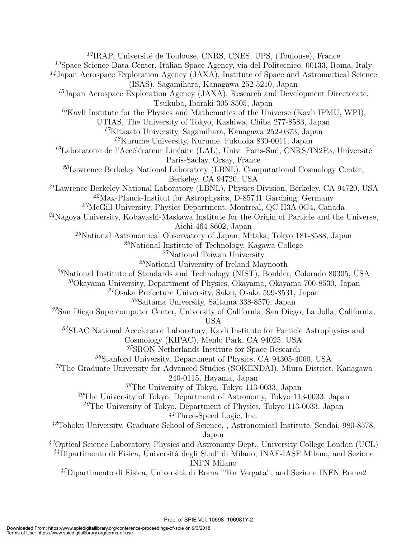<sup>12</sup>IRAP, Université de Toulouse, CNRS, CNES, UPS, (Toulouse), France Space Science Data Center, Italian Space Agency, via del Politecnico, 00133, Roma, Italy Japan Aerospace Exploration Agency (JAXA), Institute of Space and Astronautical Science (ISAS), Sagamihara, Kanagawa 252-5210, Japan Japan Aerospace Exploration Agency (JAXA), Research and Development Directorate, Tsukuba, Ibaraki 305-8505, Japan Kavli Institute for the Physics and Mathematics of the Universe (Kavli IPMU, WPI), UTIAS, The University of Tokyo, Kashiwa, Chiba 277-8583, Japan Kitasato University, Sagamihara, Kanagawa 252-0373, Japan Kurume University, Kurume, Fukuoka 830-0011, Japan <sup>19</sup>Laboratoire de l'Accélérateur Linéaire (LAL), Univ. Paris-Sud, CNRS/IN2P3, Université Paris-Saclay, Orsay, France Lawrence Berkeley National Laboratory (LBNL), Computational Cosmology Center, Berkeley, CA 94720, USA Lawrence Berkeley National Laboratory (LBNL), Physics Division, Berkeley, CA 94720, USA Max-Planck-Institut for Astrophysics, D-85741 Garching, Germany McGill University, Physics Department, Montreal, QC H3A 0G4, Canada Nagoya University, Kobayashi-Maskawa Institute for the Origin of Particle and the Universe, Aichi 464-8602, Japan National Astronomical Observatory of Japan, Mitaka, Tokyo 181-8588, Japan National Institute of Technology, Kagawa College National Taiwan University National University of Ireland Maynooth National Institute of Standards and Technology (NIST), Boulder, Colorado 80305, USA Okayama University, Department of Physics, Okayama, Okayama 700-8530, Japan Osaka Prefecture University, Sakai, Osaka 599-8531, Japan Saitama University, Saitama 338-8570, Japan San Diego Supercomputer Center, University of California, San Diego, La Jolla, California, USA SLAC National Accelerator Laboratory, Kavli Institute for Particle Astrophysics and Cosmology (KIPAC), Menlo Park, CA 94025, USA SRON Netherlands Institute for Space Research Stanford University, Department of Physics, CA 94305-4060, USA The Graduate University for Advanced Studies (SOKENDAI), Miura District, Kanagawa 240-0115, Hayama, Japan The University of Tokyo, Tokyo 113-0033, Japan The University of Tokyo, Department of Astronomy, Tokyo 113-0033, Japan The University of Tokyo, Department of Physics, Tokyo 113-0033, Japan Three-Speed Logic, Inc. Tohoku University, Graduate School of Science, , Astronomical Institute, Sendai, 980-8578, Japan Optical Science Laboratory, Physics and Astronomy Dept., University College London (UCL) <sup>44</sup>Dipartimento di Fisica, Università degli Studi di Milano, INAF-IASF Milano, and Sezione INFN Milano <sup>45</sup>Dipartimento di Fisica, Università di Roma "Tor Vergata", and Sezione INFN Roma2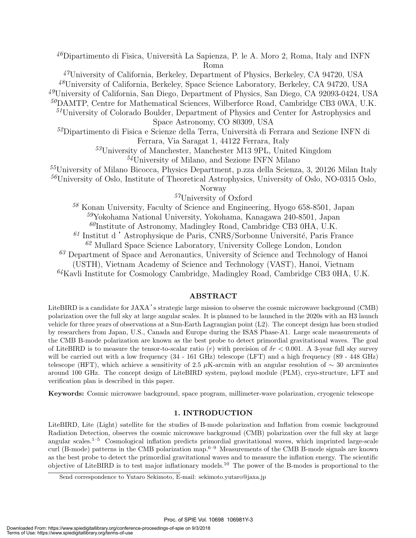<sup>46</sup>Dipartimento di Fisica, Università La Sapienza, P. le A. Moro 2, Roma, Italy and INFN Roma

*<sup>47</sup>*University of California, Berkeley, Department of Physics, Berkeley, CA 94720, USA

*<sup>48</sup>*University of California, Berkeley, Space Science Laboratory, Berkeley, CA 94720, USA

*<sup>49</sup>*University of California, San Diego, Department of Physics, San Diego, CA 92093-0424, USA

*<sup>50</sup>*DAMTP, Centre for Mathematical Sciences, Wilberforce Road, Cambridge CB3 0WA, U.K.

*<sup>51</sup>*University of Colorado Boulder, Department of Physics and Center for Astrophysics and Space Astronomy, CO 80309, USA

<sup>52</sup>Dipartimento di Fisica e Scienze della Terra, Università di Ferrara and Sezione INFN di Ferrara, Via Saragat 1, 44122 Ferrara, Italy

*<sup>53</sup>*University of Manchester, Manchester M13 9PL, United Kingdom

*<sup>54</sup>*University of Milano, and Sezione INFN Milano

*<sup>55</sup>*University of Milano Bicocca, Physics Department, p.zza della Scienza, 3, 20126 Milan Italy

*<sup>56</sup>*University of Oslo, Institute of Theoretical Astrophysics, University of Oslo, NO-0315 Oslo,

Norway

*<sup>57</sup>*University of Oxford

 Konan University, Faculty of Science and Engineering, Hyogo 658-8501, Japan Yokohama National University, Yokohama, Kanagawa 240-8501, Japan Institute of Astronomy, Madingley Road, Cambridge CB3 0HA, U.K. Institut d'Astrophysique de Paris, CNRS/Sorbonne Université, Paris France Mullard Space Science Laboratory, University College London, London

*<sup>63</sup>* Department of Space and Aeronautics, University of Science and Technology of Hanoi

(USTH), Vietnam Academy of Science and Technology (VAST), Hanoi, Vietnam

*<sup>64</sup>*Kavli Institute for Cosmology Cambridge, Madingley Road, Cambridge CB3 0HA, U.K.

#### **ABSTRACT**

LiteBIRD is a candidate for JAXA's strategic large mission to observe the cosmic microwave background (CMB) polarization over the full sky at large angular scales. It is planned to be launched in the 2020s with an H3 launch vehicle for three years of observations at a Sun-Earth Lagrangian point (L2). The concept design has been studied by researchers from Japan, U.S., Canada and Europe during the ISAS Phase-A1. Large scale measurements of the CMB B-mode polarization are known as the best probe to detect primordial gravitational waves. The goal of LiteBIRD is to measure the tensor-to-scalar ratio (*r*) with precision of *δr <* 0*.*001. A 3-year full sky survey will be carried out with a low frequency  $(34 - 161 \text{ GHz})$  telescope (LFT) and a high frequency  $(89 - 448 \text{ GHz})$ telescope (HFT), which achieve a sensitivity of 2.5 *µ*K-arcmin with an angular resolution of *∼* 30 arcminutes around 100 GHz. The concept design of LiteBIRD system, payload module (PLM), cryo-structure, LFT and verification plan is described in this paper.

**Keywords:** Cosmic microwave background, space program, millimeter-wave polarization, cryogenic telescope

#### **1. INTRODUCTION**

LiteBIRD, Lite (Light) satellite for the studies of B-mode polarization and Inflation from cosmic background Radiation Detection, observes the cosmic microwave background (CMB) polarization over the full sky at large angular scales.1–5 Cosmological inflation predicts primordial gravitational waves, which imprinted large-scale curl (B-mode) patterns in the CMB polarization map.6–9 Measurements of the CMB B-mode signals are known as the best probe to detect the primordial gravitational waves and to measure the inflation energy. The scientific objective of LiteBIRD is to test major inflationary models.<sup>10</sup> The power of the B-modes is proportional to the

Send correspondence to Yutaro Sekimoto, E-mail: sekimoto.yutaro@jaxa.jp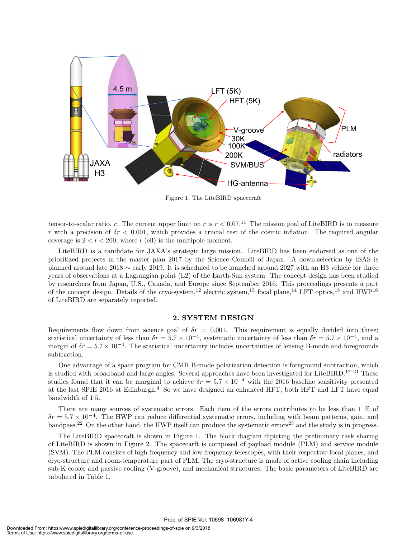

Figure 1. The LiteBIRD spacecraft

tensor-to-scalar ratio, *r*. The current upper limit on *r* is  $r < 0.07$ .<sup>11</sup> The mission goal of LiteBIRD is to measure *r* with a precision of  $\delta r < 0.001$ , which provides a crucial test of the cosmic inflation. The required angular coverage is  $2 < l < 200$ , where *l* (ell) is the multipole moment.

LiteBIRD is a candidate for JAXA's strategic large mission. LiteBIRD has been endorsed as one of the prioritized projects in the master plan 2017 by the Science Council of Japan. A down-selection by ISAS is planned around late 2018 *∼* early 2019. It is scheduled to be launched around 2027 with an H3 vehicle for three years of observations at a Lagrangian point (L2) of the Earth-Sun system. The concept design has been studied by researchers from Japan, U.S., Canada, and Europe since September 2016. This proceedings presents a part of the concept design. Details of the cryo-system,<sup>12</sup> electric system,<sup>13</sup> focal plane,<sup>14</sup> LFT optics,<sup>15</sup> and HWP<sup>16</sup> of LiteBIRD are separately reported.

#### **2. SYSTEM DESIGN**

Requirements flow down from science goal of  $\delta r = 0.001$ . This requirement is equally divided into three; statistical uncertainty of less than  $\delta r = 5.7 \times 10^{-4}$ , systematic uncertainty of less than  $\delta r = 5.7 \times 10^{-4}$ , and a margin of  $\delta r = 5.7 \times 10^{-4}$ . The statistical uncertainty includes uncertainties of lensing B-mode and foregrounds subtraction.

One advantage of a space program for CMB B-mode polarization detection is foreground subtraction, which is studied with broadband and large angles. Several approaches have been investigated for LiteBIRD.<sup>17–21</sup> These studies found that it can be marginal to achieve  $\delta r = 5.7 \times 10^{-4}$  with the 2016 baseline sensitivity presented at the last SPIE 2016 at Edinburgh.<sup>4</sup> So we have designed an enhanced HFT; both HFT and LFT have equal bandwidth of 1:5.

There are many sources of systematic errors. Each item of the errors contributes to be less than 1 % of  $\delta r = 5.7 \times 10^{-4}$ . The HWP can reduce differential systematic errors, including with beam patterns, gain, and bandpass.<sup>22</sup> On the other hand, the HWP itself can produce the systematic errors<sup>23</sup> and the study is in progress.

The LiteBIRD spacecraft is shown in Figure 1. The block diagram dipicting the preliminary task sharing of LiteBIRD is shown in Figure 2. The spacecarft is composed of payload module (PLM) and service module (SVM). The PLM consists of high frequency and low frequency telescopes, with their respective focal planes, and cryo-structure and room-temperature part of PLM. The cryo-structure is made of active cooling chain including sub-K cooler and passive cooling (V-groove), and mechanical structures. The basic parameters of LiteBIRD are tabulated in Table 1.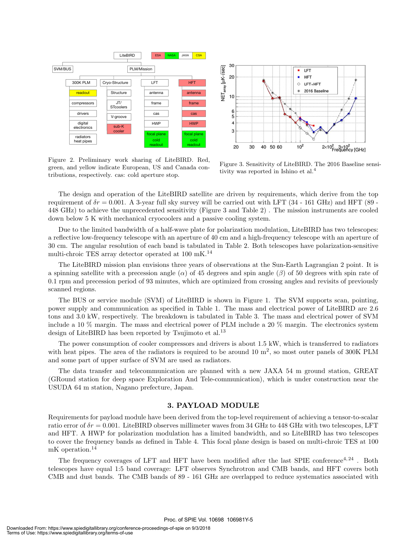

Figure 2. Preliminary work sharing of LiteBIRD. Red, green, and yellow indicate European, US and Canada contributions, respectively. cas: cold aperture stop.



Figure 3. Sensitivity of LiteBIRD. The 2016 Baseline sensitivity was reported in Ishino et al.<sup>4</sup>

The design and operation of the LiteBIRD satellite are driven by requirements, which derive from the top requirement of  $\delta r = 0.001$ . A 3-year full sky survey will be carried out with LFT (34 - 161 GHz) and HFT (89 -448 GHz) to achieve the unprecedented sensitivity (Figure 3 and Table 2) . The mission instruments are cooled down below 5 K with mechanical cryocoolers and a passive cooling system.

Due to the limited bandwidth of a half-wave plate for polarization modulation, LiteBIRD has two telescopes: a reflective low-frequency telescope with an aperture of 40 cm and a high-frequency telescope with an aperture of 30 cm. The angular resolution of each band is tabulated in Table 2. Both telescopes have polarization-sensitive multi-chroic TES array detector operated at  $100$   $\rm mK.^{14}$ 

The LiteBIRD mission plan envisions three years of observations at the Sun-Earth Lagrangian 2 point. It is a spinning satellite with a precession angle  $(\alpha)$  of 45 degrees and spin angle  $(\beta)$  of 50 degrees with spin rate of 0.1 rpm and precession period of 93 minutes, which are optimized from crossing angles and revisits of previously scanned regions.

The BUS or service module (SVM) of LiteBIRD is shown in Figure 1. The SVM supports scan, pointing, power supply and communication as specified in Table 1. The mass and electrical power of LiteBIRD are 2.6 tons and 3.0 kW, respectively. The breakdown is tabulated in Table 3. The mass and electrical power of SVM include a 10 % margin. The mass and electrical power of PLM include a 20 % margin. The electronics system design of LiteBIRD has been reported by Tsujimoto et al.<sup>13</sup>

The power consumption of cooler compressors and drivers is about 1.5 kW, which is transferred to radiators with heat pipes. The area of the radiators is required to be around  $10 \text{ m}^2$ , so most outer panels of 300K PLM and some part of upper surface of SVM are used as radiators.

The data transfer and telecommunication are planned with a new JAXA 54 m ground station, GREAT (GRound station for deep space Exploration And Tele-communication), which is under construction near the USUDA 64 m station, Nagano prefecture, Japan.

#### **3. PAYLOAD MODULE**

Requirements for payload module have been derived from the top-level requirement of achieving a tensor-to-scalar ratio error of *δr* = 0*.*001. LiteBIRD observes millimeter waves from 34 GHz to 448 GHz with two telescopes, LFT and HFT. A HWP for polarization modulation has a limited bandwidth, and so LiteBIRD has two telescopes to cover the frequency bands as defined in Table 4. This focal plane design is based on multi-chroic TES at 100 mK operation.<sup>14</sup>

The frequency coverages of LFT and HFT have been modified after the last SPIE conference<sup>4, 24</sup>. Both telescopes have equal 1:5 band coverage: LFT observes Synchrotron and CMB bands, and HFT covers both CMB and dust bands. The CMB bands of 89 - 161 GHz are overlapped to reduce systematics associated with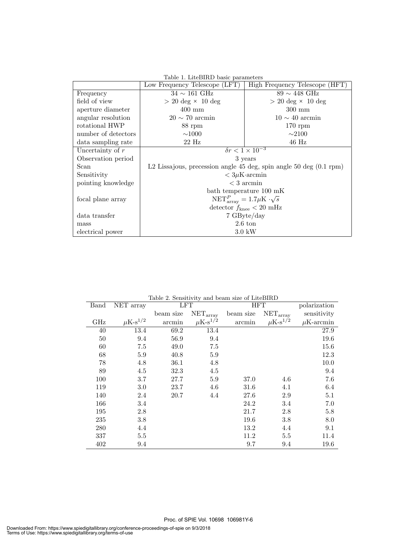| Table 1. LiteBIRD basic parameters |                                                                      |                                          |  |  |  |  |
|------------------------------------|----------------------------------------------------------------------|------------------------------------------|--|--|--|--|
|                                    | Low Frequency Telescope (LFT)                                        | High Frequency Telescope (HFT)           |  |  |  |  |
| Frequency                          | $34 \sim 161$ GHz                                                    | $89 \sim 448$ GHz                        |  |  |  |  |
| field of view                      | $> 20 \text{ deg} \times 10 \text{ deg}$                             | $> 20 \text{ deg} \times 10 \text{ deg}$ |  |  |  |  |
| aperture diameter                  | $400 \text{ mm}$                                                     | $300 \text{ mm}$                         |  |  |  |  |
| angular resolution                 | $20 \sim 70$ arcmin                                                  | $10 \sim 40$ arcmin                      |  |  |  |  |
| rotational HWP                     | 88 rpm                                                               | $170$ rpm                                |  |  |  |  |
| number of detectors                | $\sim$ 1000                                                          | $\sim$ 2100                              |  |  |  |  |
| data sampling rate                 | $22$ Hz                                                              | $46$ Hz                                  |  |  |  |  |
| Uncertainty of $r$                 | $\delta r < 1 \times 10^{-3}$                                        |                                          |  |  |  |  |
| Observation period                 | 3 years                                                              |                                          |  |  |  |  |
| Scan                               | L2 Lissajous, precession angle 45 deg, spin angle 50 deg $(0.1$ rpm) |                                          |  |  |  |  |
| Sensitivity                        | $< 3\mu$ K·arcmin                                                    |                                          |  |  |  |  |
| pointing knowledge                 | $<$ 3 arcmin                                                         |                                          |  |  |  |  |
|                                    | bath temperature 100 mK                                              |                                          |  |  |  |  |
| focal plane array                  | $NET_{\text{array}}^P = 1.7 \mu K \cdot \sqrt{s}$                    |                                          |  |  |  |  |
|                                    | detector $f_{\text{knee}} < 20 \text{ mHz}$                          |                                          |  |  |  |  |
| data transfer                      | 7 GByte/day                                                          |                                          |  |  |  |  |
| mass                               | $2.6~\mathrm{ton}$                                                   |                                          |  |  |  |  |
| electrical power                   | $3.0\;{\rm kW}$                                                      |                                          |  |  |  |  |

| Band | NET array                | $\pm \omega$ . $\pm \cdot \omega$<br>LFT |                          |           | $\frac{1}{2}$<br><b>HFT</b> |                |
|------|--------------------------|------------------------------------------|--------------------------|-----------|-----------------------------|----------------|
|      |                          | beam size                                | $NET_{\text{array}}$     | beam size | $NET_{\text{array}}$        | sensitivity    |
| GHz  | $\mu$ K-s <sup>1/2</sup> | arcmin                                   | $\mu$ K-s <sup>1/2</sup> | arcmin    | $\mu$ K-s <sup>1/2</sup>    | $\mu$ K-arcmin |
| 40   | 13.4                     | 69.2                                     | 13.4                     |           |                             | 27.9           |
| 50   | 9.4                      | 56.9                                     | 9.4                      |           |                             | 19.6           |
| 60   | 7.5                      | 49.0                                     | 7.5                      |           |                             | 15.6           |
| 68   | 5.9                      | 40.8                                     | 5.9                      |           |                             | 12.3           |
| 78   | 4.8                      | 36.1                                     | 4.8                      |           |                             | 10.0           |
| 89   | 4.5                      | 32.3                                     | 4.5                      |           |                             | 9.4            |
| 100  | 3.7                      | 27.7                                     | 5.9                      | 37.0      | 4.6                         | 7.6            |
| 119  | 3.0                      | 23.7                                     | 4.6                      | 31.6      | 4.1                         | 6.4            |
| 140  | 2.4                      | 20.7                                     | 4.4                      | 27.6      | 2.9                         | $5.1\,$        |
| 166  | 3.4                      |                                          |                          | 24.2      | 3.4                         | 7.0            |
| 195  | 2.8                      |                                          |                          | 21.7      | 2.8                         | 5.8            |
| 235  | 3.8                      |                                          |                          | 19.6      | 3.8                         | 8.0            |
| 280  | 4.4                      |                                          |                          | 13.2      | 4.4                         | 9.1            |
| 337  | 5.5                      |                                          |                          | 11.2      | 5.5                         | 11.4           |
| 402  | 9.4                      |                                          |                          | 9.7       | 9.4                         | 19.6           |

Table 2. Sensitivity and beam size of LiteBIRD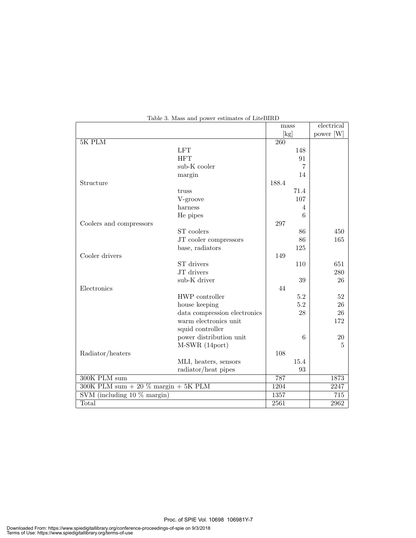|                                            |                              | mass             |         | electrical       |
|--------------------------------------------|------------------------------|------------------|---------|------------------|
|                                            |                              | [kg]             |         | power [W]        |
| 5K PLM                                     |                              | $\overline{260}$ |         |                  |
|                                            | <b>LFT</b>                   |                  | 148     |                  |
|                                            | <b>HFT</b>                   |                  | 91      |                  |
|                                            | sub-K cooler                 |                  | 7       |                  |
|                                            | margin                       |                  | 14      |                  |
| Structure                                  |                              | 188.4            |         |                  |
|                                            | truss                        |                  | 71.4    |                  |
|                                            | V-groove                     |                  | 107     |                  |
|                                            | harness                      |                  | 4       |                  |
|                                            | He pipes                     |                  | 6       |                  |
| Coolers and compressors                    |                              | 297              |         |                  |
|                                            | ST coolers                   |                  | 86      | 450              |
|                                            | JT cooler compressors        |                  | 86      | 165              |
|                                            | base, radiators              |                  | 125     |                  |
| Cooler drivers                             |                              | 149              |         |                  |
|                                            | ST drivers                   |                  | 110     | 651              |
|                                            | JT drivers                   |                  |         | 280              |
|                                            | sub-K driver                 |                  | 39      | 26               |
| Electronics                                |                              | 44               |         |                  |
|                                            | HWP controller               |                  | $5.2\,$ | 52               |
|                                            | house keeping                |                  | $5.2\,$ | 26               |
|                                            | data compression electronics |                  | 28      | 26               |
|                                            | warm electronics unit        |                  |         | 172              |
|                                            | squid controller             |                  |         |                  |
|                                            | power distribution unit      |                  | 6       | 20               |
|                                            | M-SWR (14port)               |                  |         | 5                |
| Radiator/heaters                           |                              | 108              |         |                  |
|                                            | MLI, heaters, sensors        |                  | 15.4    |                  |
|                                            | radiator/heat pipes          |                  | 93      |                  |
| 300K PLM sum                               |                              | 787              |         | 1873             |
| 300K PLM sum $+$ 20 $\%$ margin $+$ 5K PLM |                              |                  |         | 2247             |
| SVM (including $10\%$ margin)              |                              | 1357             |         | $\overline{715}$ |
| Total                                      |                              | 2561             |         | 2962             |

#### Table 3. Mass and power estimates of LiteBIRD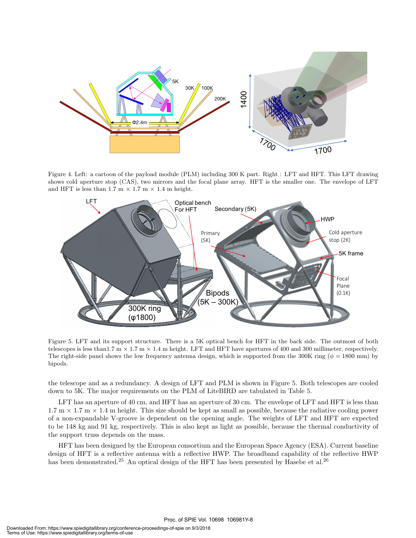

Figure 4. Left: a cartoon of the payload module (PLM) including 300 K part. Right : LFT and HFT. This LFT drawing shows cold aperture stop (CAS), two mirrors and the focal plane array. HFT is the smaller one. The envelope of LFT and HFT is less than  $1.7 \text{ m} \times 1.7 \text{ m} \times 1.4 \text{ m}$  height.



Figure 5. LFT and its support structure. There is a 5K optical bench for HFT in the back side. The outmost of both telescopes is less than1.7 m *×* 1.7 m *×* 1.4 m height. LFT and HFT have apertures of 400 and 300 millimeter, respectively. The right-side panel shows the low frequency antenna design, which is supported from the 300K ring ( $\phi = 1800$  mm) by bipods.

the telescope and as a redundancy. A design of LFT and PLM is shown in Figure 5. Both telescopes are cooled down to 5K. The major requirements on the PLM of LiteBIRD are tabulated in Table 5.

LFT has an aperture of 40 cm, and HFT has an aperture of 30 cm. The envelope of LFT and HFT is less than  $1.7 \text{ m} \times 1.7 \text{ m} \times 1.4 \text{ m}$  height. This size should be kept as small as possible, because the radiative cooling power of a non-expandable V-groove is dependent on the opening angle. The weights of LFT and HFT are expected to be 148 kg and 91 kg, respectively. This is also kept as light as possible, because the thermal conductivity of the support truss depends on the mass.

HFT has been designed by the European consortium and the European Space Agency (ESA). Current baseline design of HFT is a reflective antenna with a reflective HWP. The broadband capability of the reflective HWP has been demonstrated.<sup>25</sup> An optical design of the HFT has been presented by Hasebe et al.<sup>26</sup>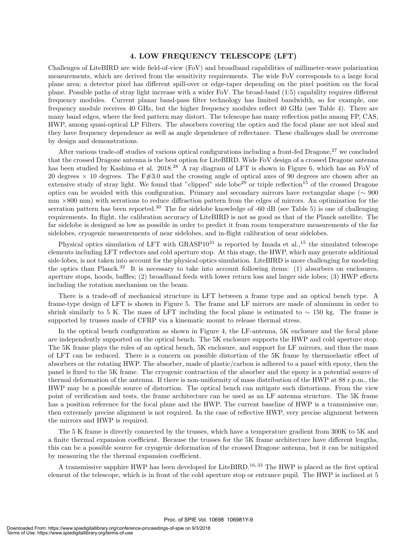#### **4. LOW FREQUENCY TELESCOPE (LFT)**

Challenges of LiteBIRD are wide field-of-view (FoV) and broadband capabilities of millimeter-wave polarization measurements, which are derived from the sensitivity requirements. The wide FoV corresponds to a large focal plane area; a detector pixel has different spill-over or edge-taper depending on the pixel position on the focal plane. Possible paths of stray light increase with a wider FoV. The broad-band (1:5) capability requires different frequency modules. Current planar band-pass filter technology has limited bandwidth, so for example, one frequency module receives 40 GHz, but the higher frequency modules reflect 40 GHz (see Table 4). There are many band edges, where the feed pattern may distort. The telescope has many reflection paths among FP, CAS, HWP, among quasi-optical LP Filters. The absorbers covering the optics and the focal plane are not ideal and they have frequency dependence as well as angle dependence of reflectance. These challenges shall be overcome by design and demonstrations.

After various trade-off studies of various optical configurations including a front-fed Dragone,<sup>27</sup> we concluded that the crossed Dragone antenna is the best option for LiteBIRD. Wide FoV design of a crossed Dragone antenna has been studied by Kashima et al. 2018.<sup>28</sup> A ray diagram of LFT is shown in Figure 6, which has an FoV of 20 degrees *×* 10 degrees. The F#3.0 and the crossing angle of optical axes of 90 degrees are chosen after an extensive study of stray light. We found that "clipped" side lobe<sup>29</sup> or triple reflection<sup>15</sup> of the crossed Dragone optics can be avoided with this configuration. Primary and secondary mirrors have rectangular shape (*∼* 900 mm *×*800 mm) with serrations to reduce diffraction pattern from the edges of mirrors. An optimization for the serration pattern has been reported.<sup>30</sup> The far sidelobe knowledge of  $-60$  dB (see Table 5) is one of challenging requirements. In flight, the calibration accuracy of LiteBIRD is not as good as that of the Planck satellite. The far sidelobe is designed as low as possible in order to predict it from room temperature measurements of the far sidelobes, cryogenic measurements of near sidelobes, and in-flight calibration of near sidelobes.

Physical optics simulation of LFT with  $GRASP10^{31}$  is reported by Imada et al.,<sup>15</sup> the simulated telescope elements including LFT reflectors and cold aperture stop. At this stage, the HWP, which may generate additional side-lobes, is not taken into account for the physical optics simulation. LiteBIRD is more challenging for modeling the optics than Planck.<sup>32</sup> It is necessary to take into account following items: (1) absorbers on enclosures, aperture stops, hoods, baffles; (2) broadband feeds with lower return loss and larger side lobes; (3) HWP effects including the rotation mechanism on the beam.

There is a trade-off of mechanical structure in LFT between a frame type and an optical bench type. A frame-type design of LFT is shown in Figure 5. The frame and LF mirrors are made of aluminum in order to shrink similarly to 5 K. The mass of LFT including the focal plane is estimated to *∼* 150 kg. The frame is supported by trusses made of CFRP via a kinematic mount to release thermal stress.

In the optical bench configuration as shown in Figure 4, the LF-antenna, 5K enclosure and the focal plane are independently supported on the optical bench. The 5K enclosure supports the HWP and cold aperture stop. The 5K frame plays the roles of an optical bench, 5K enclosure, and support for LF mirrors, and thus the mass of LFT can be reduced. There is a concern on possible distortion of the 5K frame by thermoelastic effect of absorbers or the rotating HWP. The absorber, made of plastic/carbon is adhered to a panel with epoxy, then the panel is fixed to the 5K frame. The cryogenic contraction of the absorber and the epoxy is a potential source of thermal deformation of the antenna. If there is non-uniformity of mass distribution of the HWP at 88 r.p.m., the HWP may be a possible source of distortion. The optical bench can mitigate such distortions. From the view point of verification and tests, the frame architecture can be used as an LF antenna structure. The 5K frame has a position reference for the focal plane and the HWP. The current baseline of HWP is a transmissive one, then extremely precise alignment is not required. In the case of reflective HWP, very precise alignment between the mirrors and HWP is required.

The 5 K frame is directly connected by the trusses, which have a temperature gradient from 300K to 5K and a finite thermal expansion coefficient. Because the trusses for the 5K frame architecture have different lengths, this can be a possible source for cryogenic deformation of the crossed Dragone antenna, but it can be mitigated by measuring the the thermal expansion coefficient.

A transmissive sapphire HWP has been developed for LiteBIRD.<sup>16,33</sup> The HWP is placed as the first optical element of the telescope, which is in front of the cold aperture stop or entrance pupil. The HWP is inclined at 5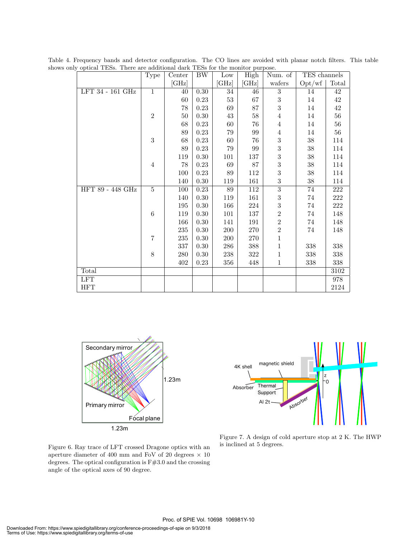| $\sigma$         | Type                    | Center  | <b>BW</b> | Low          | purpose.<br>High | Num. of          | TES channels |                  |
|------------------|-------------------------|---------|-----------|--------------|------------------|------------------|--------------|------------------|
|                  |                         | [GHz]   |           | $[\rm{GHz}]$ | $[\rm{GHz}]$     | wafers           | Opt/wf       | Total            |
| LFT 34 - 161 GHz | $\overline{1}$          | 40      | 0.30      | 34           | 46               | $\overline{3}$   | 14           | 42               |
|                  |                         | 60      | 0.23      | $53\,$       | 67               | $\sqrt{3}$       | $14\,$       | 42               |
|                  |                         | 78      | $0.23\,$  | 69           | 87               | $\overline{3}$   | $14\,$       | $42\,$           |
|                  | $\overline{2}$          | $50\,$  | $0.30\,$  | $43\,$       | $58\,$           | $\,4\,$          | 14           | $56\,$           |
|                  |                         | 68      | $0.23\,$  | $60\,$       | 76               | $\overline{4}$   | $14\,$       | $56\,$           |
|                  |                         | 89      | $0.23\,$  | $79\,$       | 99               | $\,4\,$          | $14\,$       | $56\,$           |
|                  | 3                       | 68      | $0.23\,$  | $60\,$       | $76\,$           | $\sqrt{3}$       | $38\,$       | $114\,$          |
|                  |                         | 89      | $0.23\,$  | 79           | 99               | $\overline{3}$   | $38\,$       | 114              |
|                  |                         | 119     | $0.30\,$  | 101          | $137\,$          | 3                | $38\,$       | 114              |
|                  | $\,4\,$                 | 78      | 0.23      | 69           | 87               | $\boldsymbol{3}$ | $38\,$       | 114              |
|                  |                         | 100     | $0.23\,$  | $89\,$       | $112\,$          | 3                | $38\,$       | $114\,$          |
|                  |                         | 140     | $0.30\,$  | $119\,$      | 161              | $\sqrt{3}$       | $38\,$       | 114              |
| HFT 89 - 448 GHz | $\overline{5}$          | 100     | 0.23      | 89           | $\overline{112}$ | $\overline{3}$   | 74           | $\overline{222}$ |
|                  |                         | 140     | $0.30\,$  | 119          | 161              | $\boldsymbol{3}$ | $74\,$       | $222\,$          |
|                  |                         | 195     | $0.30\,$  | 166          | 224              | 3                | $74\,$       | $222\,$          |
|                  | $\,6$                   | 119     | $0.30\,$  | 101          | 137              | $\overline{2}$   | $74\,$       | 148              |
|                  |                         | 166     | $0.30\,$  | 141          | 191              | $\overline{2}$   | $74\,$       | 148              |
|                  |                         | $235\,$ | 0.30      | $200\,$      | $270\,$          | $\overline{2}$   | $74\,$       | 148              |
|                  | $\overline{7}$          | $235\,$ | $0.30\,$  | $200\,$      | $270\,$          | $\,1$            |              |                  |
|                  |                         | 337     | $0.30\,$  | 286          | 388              | $\,1$            | 338          | 338              |
|                  | $8\,$                   | 280     | $0.30\,$  | 238          | 322              | $\,1$            | 338          | $338\,$          |
|                  |                         | 402     | 0.23      | 356          | 448              | $\mathbf{1}$     | 338          | 338              |
| Total            |                         |         |           |              |                  |                  |              | 3102             |
| <b>LFT</b>       |                         |         |           |              |                  |                  |              | 978              |
| <b>HFT</b>       |                         |         |           |              |                  |                  |              | 2124             |
|                  |                         |         |           |              |                  |                  |              |                  |
|                  |                         |         |           |              |                  |                  |              |                  |
|                  |                         |         |           |              |                  |                  |              |                  |
|                  |                         |         |           |              |                  |                  |              |                  |
|                  |                         |         |           |              |                  |                  |              |                  |
|                  | W<br><b>CALCULATION</b> |         |           |              |                  |                  |              |                  |

Table 4. Frequency bands and detector configuration. The CO lines are avoided with planar notch filters. This table shows only optical TESs. There are additional dark TESs for the monitor purpose.





Figure 6. Ray trace of LFT crossed Dragone optics with an aperture diameter of 400 mm and FoV of 20 degrees *×* 10 degrees. The optical configuration is F#3.0 and the crossing angle of the optical axes of 90 degree.

Figure 7. A design of cold aperture stop at 2 K. The HWP is inclined at 5 degrees.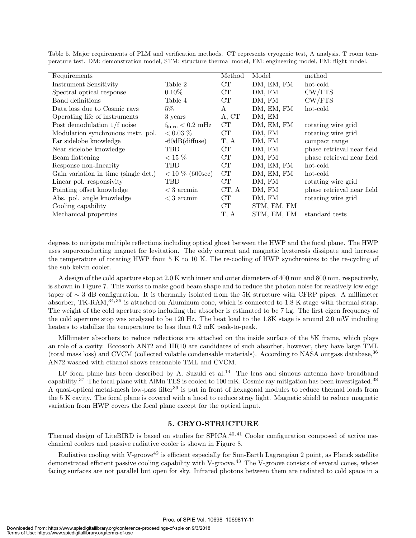| Requirements                         |                                     | Method    | Model       | method                     |
|--------------------------------------|-------------------------------------|-----------|-------------|----------------------------|
| <b>Instrument Sensitivity</b>        | Table 2                             | CT        | DM, EM, FM  | hot-cold                   |
| Spectral optical response            | $0.10\%$                            | CT        | DM, FM      | CW/FTS                     |
| Band definitions                     | Table 4                             | CT        | DM, FM      | CW/FTS                     |
| Data loss due to Cosmic rays         | $5\%$                               | А         | DM, EM, FM  | hot-cold                   |
| Operating life of instruments        | 3 years                             | A, CT     | DM, EM      |                            |
| Post demodulation 1/f noise          | $f_{\text{knee}} < 0.2 \text{ mHz}$ | CT        | DM, EM, FM  | rotating wire grid         |
| Modulation synchronous instr. pol.   | $< 0.03 \%$                         | CT        | DM, FM      | rotating wire grid         |
| Far sidelobe knowledge               | $-60dB$ (diffuse)                   | T, A      | DM, FM      | compact range              |
| Near sidelobe knowledge              | TBD                                 | CT        | DM, FM      | phase retrieval near field |
| Beam flattening                      | $<$ 15 $\%$                         | CT        | DM, FM      | phase retrieval near field |
| Response non-linearity               | TBD                                 | CT        | DM, EM, FM  | hot-cold                   |
| Gain variation in time (single det.) | $< 10 \%$ (600sec)                  | <b>CT</b> | DM, EM, FM  | hot-cold                   |
| Linear pol. responsivity             | TBD                                 | CT        | DM, FM      | rotating wire grid         |
| Pointing offset knowledge            | $<$ 3 arcmin                        | CT, A     | DM, FM      | phase retrieval near field |
| Abs. pol. angle knowledge            | $<$ 3 arcmin                        | CT        | DM, FM      | rotating wire grid         |
| Cooling capability                   |                                     | CT        | STM, EM, FM |                            |
| Mechanical properties                |                                     | T, A      | STM, EM, FM | standard tests             |

Table 5. Major requirements of PLM and verification methods. CT represents cryogenic test, A analysis, T room temperature test. DM: demonstration model, STM: structure thermal model, EM: engineering model, FM: flight model.

degrees to mitigate multiple reflections including optical ghost between the HWP and the focal plane. The HWP uses superconducting magnet for levitation. The eddy current and magnetic hysteresis dissipate and increase the temperature of rotating HWP from 5 K to 10 K. The re-cooling of HWP synchronizes to the re-cycling of the sub kelvin cooler.

A design of the cold aperture stop at 2.0 K with inner and outer diameters of 400 mm and 800 mm, respectively, is shown in Figure 7. This works to make good beam shape and to reduce the photon noise for relatively low edge taper of *∼* 3 dB configuration. It is thermally isolated from the 5K structure with CFRP pipes. A millimeter absorber, TK-RAM, $34,35$  is attached on Aluminum cone, which is connected to 1.8 K stage with thermal strap. The weight of the cold aperture stop including the absorber is estimated to be 7 kg. The first eigen frequency of the cold aperture stop was analyzed to be 120 Hz. The heat load to the 1.8K stage is around 2.0 mW including heaters to stabilize the temperature to less than 0.2 mK peak-to-peak.

Millimeter absorbers to reduce reflections are attached on the inside surface of the 5K frame, which plays an role of a cavity. Eccosorb AN72 and HR10 are candidates of such absorber, however, they have large TML (total mass loss) and CVCM (collected volatile condensable materials). According to NASA outgass database,<sup>36</sup> AN72 washed with ethanol shows reasonable TML and CVCM.

LF focal plane has been described by A. Suzuki et al.<sup>14</sup> The lens and sinuous antenna have broadband capability.<sup>37</sup> The focal plane with AlMn TES is cooled to 100 mK. Cosmic ray mitigation has been investigated.<sup>38</sup> A quasi-optical metal-mesh low-pass filter<sup>39</sup> is put in front of hexagonal modules to reduce thermal loads from the 5 K cavity. The focal plane is covered with a hood to reduce stray light. Magnetic shield to reduce magnetic variation from HWP covers the focal plane except for the optical input.

#### **5. CRYO-STRUCTURE**

Thermal design of LiteBIRD is based on studies for SPICA.<sup>40,41</sup> Cooler configuration composed of active mechanical coolers and passive radiative cooler is shown in Figure 8.

Radiative cooling with V-groove<sup>42</sup> is efficient especially for Sun-Earth Lagrangian 2 point, as Planck satellite demonstrated efficient passive cooling capability with V-groove.<sup>43</sup> The V-groove consists of several cones, whose facing surfaces are not parallel but open for sky. Infrared photons between them are radiated to cold space in a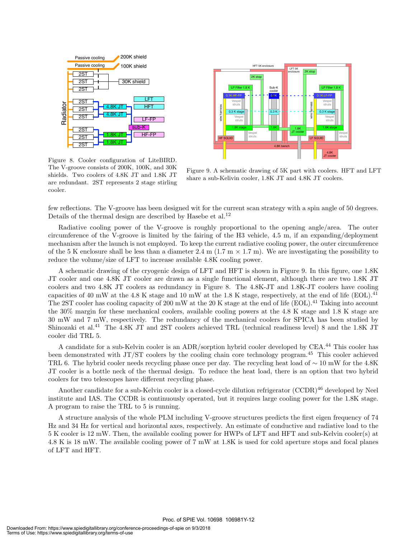



Figure 8. Cooler configuration of LiteBIRD. The V-groove consists of 200K, 100K, and 30K shields. Two coolers of 4.8K JT and 1.8K JT are redundant. 2ST represents 2 stage stirling cooler.

Figure 9. A schematic drawing of 5K part with coolers. HFT and LFT share a sub-Kelivin cooler, 1.8K JT and 4.8K JT coolers.

few reflections. The V-groove has been designed wit for the current scan strategy with a spin angle of 50 degrees. Details of the thermal design are described by Hasebe et al.<sup>12</sup>

Radiative cooling power of the V-groove is roughly proportional to the opening angle/area. The outer circumference of the V-groove is limited by the fairing of the H3 vehicle, 4.5 m, if an expanding/deployment mechanism after the launch is not employed. To keep the current radiative cooling power, the outer circumference of the 5 K enclosure shall be less than a diameter 2.4 m (1.7 m  $\times$  1.7 m). We are investigating the possibility to reduce the volume/size of LFT to increase available 4.8K cooling power.

A schematic drawing of the cryogenic design of LFT and HFT is shown in Figure 9. In this figure, one 1.8K JT cooler and one 4.8K JT cooler are drawn as a single functional element, although there are two 1.8K JT coolers and two 4.8K JT coolers as redundancy in Figure 8. The 4.8K-JT and 1.8K-JT coolers have cooling capacities of 40 mW at the 4.8 K stage and 10 mW at the 1.8 K stage, respectively, at the end of life (EOL).<sup>41</sup> The 2ST cooler has cooling capacity of 200 mW at the 20 K stage at the end of life (EOL).<sup>41</sup> Taking into account the 30% margin for these mechanical coolers, available cooling powers at the 4.8 K stage and 1.8 K stage are 30 mW and 7 mW, respectively. The redundancy of the mechanical coolers for SPICA has been studied by Shinozaki et al.<sup>41</sup> The 4.8K JT and 2ST coolers achieved TRL (technical readiness level) 8 and the 1.8K JT cooler did TRL 5.

A candidate for a sub-Kelvin cooler is an ADR/sorption hybrid cooler developed by CEA.<sup>44</sup> This cooler has been demonstrated with JT/ST coolers by the cooling chain core technology program.<sup>45</sup> This cooler achieved TRL 6. The hybrid cooler needs recycling phase once per day. The recycling heat load of *∼* 10 mW for the 4.8K JT cooler is a bottle neck of the thermal design. To reduce the heat load, there is an option that two hybrid coolers for two telescopes have different recycling phase.

Another candidate for a sub-Kelvin cooler is a closed-cycle dilution refrigerator (CCDR)<sup>46</sup> developed by Neel institute and IAS. The CCDR is continuously operated, but it requires large cooling power for the 1.8K stage. A program to raise the TRL to 5 is running.

A structure analysis of the whole PLM including V-groove structures predicts the first eigen frequency of 74 Hz and 34 Hz for vertical and horizontal axes, respectively. An estimate of conductive and radiative load to the 5 K cooler is 12 mW. Then, the available cooling power for HWPs of LFT and HFT and sub-Kelvin cooler(s) at 4.8 K is 18 mW. The available cooling power of 7 mW at 1.8K is used for cold aperture stops and focal planes of LFT and HFT.

Proc. of SPIE Vol. 10698 106981Y-12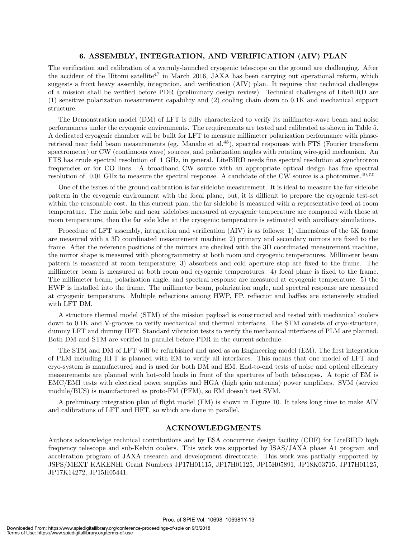#### **6. ASSEMBLY, INTEGRATION, AND VERIFICATION (AIV) PLAN**

The verification and calibration of a warmly-launched cryogenic telescope on the ground are challenging. After the accident of the Hitomi satellite<sup>47</sup> in March 2016, JAXA has been carrying out operational reform, which suggests a front heavy assembly, integration, and verification (AIV) plan. It requires that technical challenges of a mission shall be verified before PDR (preliminary design review). Technical challenges of LiteBIRD are (1) sensitive polarization measurement capability and (2) cooling chain down to 0.1K and mechanical support structure.

The Demonstration model (DM) of LFT is fully characterized to verify its millimeter-wave beam and noise performances under the cryogenic environments. The requirements are tested and calibrated as shown in Table 5. A dedicated cryogenic chamber will be built for LFT to measure millimeter polarization performance with phaseretrieval near field beam measurements (eg. Manabe et al.<sup>48</sup>), spectral responses with FTS (Fourier transform spectrometer) or CW (continuous wave) sources, and polarization angles with rotating wire-grid mechanism. An FTS has crude spectral resolution of 1 GHz, in general. LiteBIRD needs fine spectral resolution at synchrotron frequencies or for CO lines. A broadband CW source with an appropriate optical design has fine spectral resolution of  $0.01$  GHz to measure the spectral response. A candidate of the CW source is a photomixer.<sup>49,50</sup>

One of the issues of the ground calibration is far sidelobe measurement. It is ideal to measure the far sidelobe pattern in the cryogenic environment with the focal plane, but, it is difficult to prepare the cryogenic test-set within the reasonable cost. In this current plan, the far sidelobe is measured with a representative feed at room temperature. The main lobe and near sidelobes measured at cryogenic temperature are compared with those at room temperature, then the far side lobe at the cryogenic temperature is estimated with auxiliary simulations.

Procedure of LFT assembly, integration and verification (AIV) is as follows: 1) dimensions of the 5K frame are measured with a 3D coordinated measurement machine; 2) primary and secondary mirrors are fixed to the frame. After the reference positions of the mirrors are checked with the 3D coordinated measurement machine, the mirror shape is measured with photogrammetry at both room and cryogenic temperatures. Millimeter beam pattern is measured at room temperature; 3) absorbers and cold aperture stop are fixed to the frame. The millimeter beam is measured at both room and cryogenic temperatures. 4) focal plane is fixed to the frame. The millimeter beam, polarization angle, and spectral response are measured at cryogenic temperature. 5) the HWP is installed into the frame. The millimeter beam, polarization angle, and spectral response are measured at cryogenic temperature. Multiple reflections among HWP, FP, reflector and baffles are extensively studied with LFT DM.

A structure thermal model (STM) of the mission payload is constructed and tested with mechanical coolers down to 0.1K and V-grooves to verify mechanical and thermal interfaces. The STM consists of cryo-structure, dummy LFT and dummy HFT. Standard vibration tests to verify the mechanical interfaces of PLM are planned. Both DM and STM are verified in parallel before PDR in the current schedule.

The STM and DM of LFT will be refurbished and used as an Engineering model (EM). The first integration of PLM including HFT is planned with EM to verify all interfaces. This means that one model of LFT and cryo-system is manufactured and is used for both DM and EM. End-to-end tests of noise and optical efficiency measurements are planned with hot-cold loads in front of the apertures of both telescopes. A topic of EM is EMC/EMI tests with electrical power supplies and HGA (high gain antenna) power amplifiers. SVM (service module/BUS) is manufactured as proto-FM (PFM), so EM doesn't test SVM.

A preliminary integration plan of flight model (FM) is shown in Figure 10. It takes long time to make AIV and calibrations of LFT and HFT, so which are done in parallel.

#### **ACKNOWLEDGMENTS**

Authors acknowledge technical contributions and by ESA concurrent design facility (CDF) for LiteBIRD high frequency telescope and sub-Kelvin coolers. This work was supported by ISAS/JAXA phase A1 program and acceleration program of JAXA research and development directorate. This work was partially supported by JSPS/MEXT KAKENHI Grant Numbers JP17H01115, JP17H01125, JP15H05891, JP18K03715, JP17H01125, JP17K14272, JP15H05441.

Proc. of SPIE Vol. 10698 106981Y-13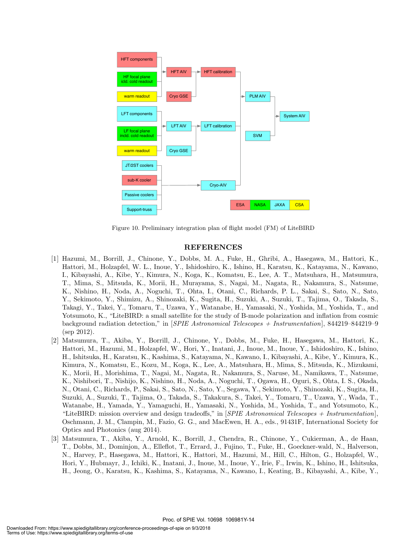

Figure 10. Preliminary integration plan of flight model (FM) of LiteBIRD

#### **REFERENCES**

- [1] Hazumi, M., Borrill, J., Chinone, Y., Dobbs, M. A., Fuke, H., Ghribi, A., Hasegawa, M., Hattori, K., Hattori, M., Holzapfel, W. L., Inoue, Y., Ishidoshiro, K., Ishino, H., Karatsu, K., Katayama, N., Kawano, I., Kibayashi, A., Kibe, Y., Kimura, N., Koga, K., Komatsu, E., Lee, A. T., Matsuhara, H., Matsumura, T., Mima, S., Mitsuda, K., Morii, H., Murayama, S., Nagai, M., Nagata, R., Nakamura, S., Natsume, K., Nishino, H., Noda, A., Noguchi, T., Ohta, I., Otani, C., Richards, P. L., Sakai, S., Sato, N., Sato, Y., Sekimoto, Y., Shimizu, A., Shinozaki, K., Sugita, H., Suzuki, A., Suzuki, T., Tajima, O., Takada, S., Takagi, Y., Takei, Y., Tomaru, T., Uzawa, Y., Watanabe, H., Yamasaki, N., Yoshida, M., Yoshida, T., and Yotsumoto, K., "LiteBIRD: a small satellite for the study of B-mode polarization and inflation from cosmic background radiation detection," in [*SPIE Astronomical Telescopes + Instrumentation*], 844219–844219–9 (sep 2012).
- [2] Matsumura, T., Akiba, Y., Borrill, J., Chinone, Y., Dobbs, M., Fuke, H., Hasegawa, M., Hattori, K., Hattori, M., Hazumi, M., Holzapfel, W., Hori, Y., Inatani, J., Inoue, M., Inoue, Y., Ishidoshiro, K., Ishino, H., Ishitsuka, H., Karatsu, K., Kashima, S., Katayama, N., Kawano, I., Kibayashi, A., Kibe, Y., Kimura, K., Kimura, N., Komatsu, E., Kozu, M., Koga, K., Lee, A., Matsuhara, H., Mima, S., Mitsuda, K., Mizukami, K., Morii, H., Morishima, T., Nagai, M., Nagata, R., Nakamura, S., Naruse, M., Namikawa, T., Natsume, K., Nishibori, T., Nishijo, K., Nishino, H., Noda, A., Noguchi, T., Ogawa, H., Oguri, S., Ohta, I. S., Okada, N., Otani, C., Richards, P., Sakai, S., Sato, N., Sato, Y., Segawa, Y., Sekimoto, Y., Shinozaki, K., Sugita, H., Suzuki, A., Suzuki, T., Tajima, O., Takada, S., Takakura, S., Takei, Y., Tomaru, T., Uzawa, Y., Wada, T., Watanabe, H., Yamada, Y., Yamaguchi, H., Yamasaki, N., Yoshida, M., Yoshida, T., and Yotsumoto, K., "LiteBIRD: mission overview and design tradeoffs," in [*SPIE Astronomical Telescopes + Instrumentation*], Oschmann, J. M., Clampin, M., Fazio, G. G., and MacEwen, H. A., eds., 91431F, International Society for Optics and Photonics (aug 2014).
- [3] Matsumura, T., Akiba, Y., Arnold, K., Borrill, J., Chendra, R., Chinone, Y., Cukierman, A., de Haan, T., Dobbs, M., Dominjon, A., Elleflot, T., Errard, J., Fujino, T., Fuke, H., Goeckner-wald, N., Halverson, N., Harvey, P., Hasegawa, M., Hattori, K., Hattori, M., Hazumi, M., Hill, C., Hilton, G., Holzapfel, W., Hori, Y., Hubmayr, J., Ichiki, K., Inatani, J., Inoue, M., Inoue, Y., Irie, F., Irwin, K., Ishino, H., Ishitsuka, H., Jeong, O., Karatsu, K., Kashima, S., Katayama, N., Kawano, I., Keating, B., Kibayashi, A., Kibe, Y.,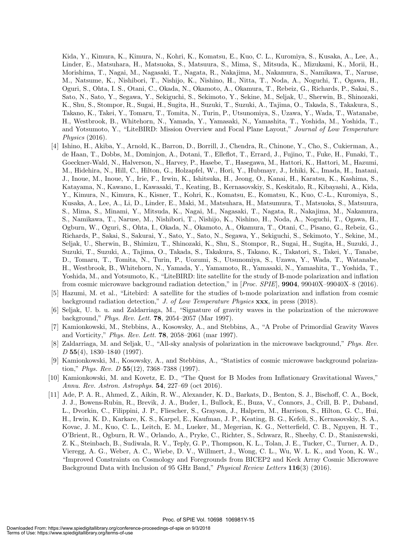Kida, Y., Kimura, K., Kimura, N., Kohri, K., Komatsu, E., Kuo, C. L., Kuromiya, S., Kusaka, A., Lee, A., Linder, E., Matsuhara, H., Matsuoka, S., Matsuura, S., Mima, S., Mitsuda, K., Mizukami, K., Morii, H., Morishima, T., Nagai, M., Nagasaki, T., Nagata, R., Nakajima, M., Nakamura, S., Namikawa, T., Naruse, M., Natsume, K., Nishibori, T., Nishijo, K., Nishino, H., Nitta, T., Noda, A., Noguchi, T., Ogawa, H., Oguri, S., Ohta, I. S., Otani, C., Okada, N., Okamoto, A., Okamura, T., Rebeiz, G., Richards, P., Sakai, S., Sato, N., Sato, Y., Segawa, Y., Sekiguchi, S., Sekimoto, Y., Sekine, M., Seljak, U., Sherwin, B., Shinozaki, K., Shu, S., Stompor, R., Sugai, H., Sugita, H., Suzuki, T., Suzuki, A., Tajima, O., Takada, S., Takakura, S., Takano, K., Takei, Y., Tomaru, T., Tomita, N., Turin, P., Utsunomiya, S., Uzawa, Y., Wada, T., Watanabe, H., Westbrook, B., Whitehorn, N., Yamada, Y., Yamasaki, N., Yamashita, T., Yoshida, M., Yoshida, T., and Yotsumoto, Y., "LiteBIRD: Mission Overview and Focal Plane Layout," *Journal of Low Temperature Physics* (2016).

- [4] Ishino, H., Akiba, Y., Arnold, K., Barron, D., Borrill, J., Chendra, R., Chinone, Y., Cho, S., Cukierman, A., de Haan, T., Dobbs, M., Dominjon, A., Dotani, T., Elleflot, T., Errard, J., Fujino, T., Fuke, H., Funaki, T., Goeckner-Wald, N., Halverson, N., Harvey, P., Hasebe, T., Hasegawa, M., Hattori, K., Hattori, M., Hazumi, M., Hidehira, N., Hill, C., Hilton, G., Holzapfel, W., Hori, Y., Hubmayr, J., Ichiki, K., Imada, H., Inatani, J., Inoue, M., Inoue, Y., Irie, F., Irwin, K., Ishitsuka, H., Jeong, O., Kanai, H., Karatsu, K., Kashima, S., Katayama, N., Kawano, I., Kawasaki, T., Keating, B., Kernasovskiy, S., Keskitalo, R., Kibayashi, A., Kida, Y., Kimura, N., Kimura, K., Kisner, T., Kohri, K., Komatsu, E., Komatsu, K., Kuo, C.-L., Kuromiya, S., Kusaka, A., Lee, A., Li, D., Linder, E., Maki, M., Matsuhara, H., Matsumura, T., Matsuoka, S., Matsuura, S., Mima, S., Minami, Y., Mitsuda, K., Nagai, M., Nagasaki, T., Nagata, R., Nakajima, M., Nakamura, S., Namikawa, T., Naruse, M., Nishibori, T., Nishijo, K., Nishino, H., Noda, A., Noguchi, T., Ogawa, H., Ogburn, W., Oguri, S., Ohta, I., Okada, N., Okamoto, A., Okamura, T., Otani, C., Pisano, G., Rebeiz, G., Richards, P., Sakai, S., Sakurai, Y., Sato, Y., Sato, N., Segawa, Y., Sekiguchi, S., Sekimoto, Y., Sekine, M., Seljak, U., Sherwin, B., Shimizu, T., Shinozaki, K., Shu, S., Stompor, R., Sugai, H., Sugita, H., Suzuki, J., Suzuki, T., Suzuki, A., Tajima, O., Takada, S., Takakura, S., Takano, K., Takatori, S., Takei, Y., Tanabe, D., Tomaru, T., Tomita, N., Turin, P., Uozumi, S., Utsunomiya, S., Uzawa, Y., Wada, T., Watanabe, H., Westbrook, B., Whitehorn, N., Yamada, Y., Yamamoto, R., Yamasaki, N., Yamashita, T., Yoshida, T., Yoshida, M., and Yotsumoto, K., "LiteBIRD: lite satellite for the study of B-mode polarization and inflation from cosmic microwave background radiation detection," in [*Proc. SPIE*], **9904**, 99040X–99040X–8 (2016).
- [5] Hazumi, M. et al., "Litebird: A satellite for the studies of b-mode polarization and inflation from cosmic background radiation detection," *J. of Low Temperature Physics* **xxx**, in press (2018).
- [6] Seljak, U. b. u. and Zaldarriaga, M., "Signature of gravity waves in the polarization of the microwave background," *Phys. Rev. Lett.* **78**, 2054–2057 (Mar 1997).
- [7] Kamionkowski, M., Stebbins, A., Kosowsky, A., and Stebbins, A., "A Probe of Primordial Gravity Waves and Vorticity," *Phys. Rev. Lett.* **78**, 2058–2061 (mar 1997).
- [8] Zaldarriaga, M. and Seljak, U., "All-sky analysis of polarization in the microwave background," *Phys. Rev. D* **55**(4), 1830–1840 (1997).
- [9] Kamionkowski, M., Kosowsky, A., and Stebbins, A., "Statistics of cosmic microwave background polarization," *Phys. Rev. D* **55**(12), 7368–7388 (1997).
- [10] Kamionkowski, M. and Kovetz, E. D., "The Quest for B Modes from Inflationary Gravitational Waves," *Annu. Rev. Astron. Astrophys.* **54**, 227–69 (oct 2016).
- [11] Ade, P. A. R., Ahmed, Z., Aikin, R. W., Alexander, K. D., Barkats, D., Benton, S. J., Bischoff, C. A., Bock, J. J., Bowens-Rubin, R., Brevik, J. A., Buder, I., Bullock, E., Buza, V., Connors, J., Crill, B. P., Duband, L., Dvorkin, C., Filippini, J. P., Fliescher, S., Grayson, J., Halpern, M., Harrison, S., Hilton, G. C., Hui, H., Irwin, K. D., Karkare, K. S., Karpel, E., Kaufman, J. P., Keating, B. G., Kefeli, S., Kernasovskiy, S. A., Kovac, J. M., Kuo, C. L., Leitch, E. M., Lueker, M., Megerian, K. G., Netterfield, C. B., Nguyen, H. T., O'Brient, R., Ogburn, R. W., Orlando, A., Pryke, C., Richter, S., Schwarz, R., Sheehy, C. D., Staniszewski, Z. K., Steinbach, B., Sudiwala, R. V., Teply, G. P., Thompson, K. L., Tolan, J. E., Tucker, C., Turner, A. D., Vieregg, A. G., Weber, A. C., Wiebe, D. V., Willmert, J., Wong, C. L., Wu, W. L. K., and Yoon, K. W., "Improved Constraints on Cosmology and Foregrounds from BICEP2 and Keck Array Cosmic Microwave Background Data with Inclusion of 95 GHz Band," *Physical Review Letters* **116**(3) (2016).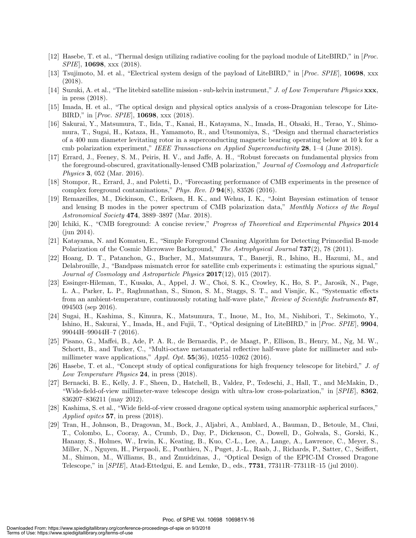- [12] Hasebe, T. et al., "Thermal design utilizing radiative cooling for the payload module of LiteBIRD," in [*Proc. SPIE*], **10698**, xxx (2018).
- [13] Tsujimoto, M. et al., "Electrical system design of the payload of LiteBIRD," in [*Proc. SPIE*], **10698**, xxx (2018).
- [14] Suzuki, A. et al., "The litebird satellite mission sub-kelvin instrument," *J. of Low Temperature Physics* **xxx**, in press (2018).
- [15] Imada, H. et al., "The optical design and physical optics analysis of a cross-Dragonian telescope for Lite-BIRD," in [*Proc. SPIE*], **10698**, xxx (2018).
- [16] Sakurai, Y., Matsumura, T., Iida, T., Kanai, H., Katayama, N., Imada, H., Ohsaki, H., Terao, Y., Shimomura, T., Sugai, H., Kataza, H., Yamamoto, R., and Utsunomiya, S., "Design and thermal characteristics of a 400 mm diameter levitating rotor in a superconducting magnetic bearing operating below at 10 k for a cmb polarization experiment," *IEEE Transactions on Applied Superconductivity* **28**, 1–4 (June 2018).
- [17] Errard, J., Feeney, S. M., Peiris, H. V., and Jaffe, A. H., "Robust forecasts on fundamental physics from the foreground-obscured, gravitationally-lensed CMB polarization," *Journal of Cosmology and Astroparticle Physics* **3**, 052 (Mar. 2016).
- [18] Stompor, R., Errard, J., and Poletti, D., "Forecasting performance of CMB experiments in the presence of complex foreground contaminations," *Phys. Rev. D* **94**(8), 83526 (2016).
- [19] Remazeilles, M., Dickinson, C., Eriksen, H. K., and Wehus, I. K., "Joint Bayesian estimation of tensor and lensing B modes in the power spectrum of CMB polarization data," *Monthly Notices of the Royal Astronomical Society* **474**, 3889–3897 (Mar. 2018).
- [20] Ichiki, K., "CMB foreground: A concise review," *Progress of Theoretical and Experimental Physics* **2014** (jun 2014).
- [21] Katayama, N. and Komatsu, E., "Simple Foreground Cleaning Algorithm for Detecting Primordial B-mode Polarization of the Cosmic Microwave Background," *The Astrophysical Journal* **737**(2), 78 (2011).
- [22] Hoang, D. T., Patanchon, G., Bucher, M., Matsumura, T., Banerji, R., Ishino, H., Hazumi, M., and Delabrouille, J., "Bandpass mismatch error for satellite cmb experiments i: estimating the spurious signal," *Journal of Cosmology and Astroparticle Physics* **2017**(12), 015 (2017).
- [23] Essinger-Hileman, T., Kusaka, A., Appel, J. W., Choi, S. K., Crowley, K., Ho, S. P., Jarosik, N., Page, L. A., Parker, L. P., Raghunathan, S., Simon, S. M., Staggs, S. T., and Visnjic, K., "Systematic effects from an ambient-temperature, continuously rotating half-wave plate," *Review of Scientific Instruments* **87**, 094503 (sep 2016).
- [24] Sugai, H., Kashima, S., Kimura, K., Matsumura, T., Inoue, M., Ito, M., Nishibori, T., Sekimoto, Y., Ishino, H., Sakurai, Y., Imada, H., and Fujii, T., "Optical designing of LiteBIRD," in [*Proc. SPIE*], **9904**, 99044H–99044H–7 (2016).
- [25] Pisano, G., Maffei, B., Ade, P. A. R., de Bernardis, P., de Maagt, P., Ellison, B., Henry, M., Ng, M. W., Schortt, B., and Tucker, C., "Multi-octave metamaterial reflective half-wave plate for millimeter and submillimeter wave applications," *Appl. Opt.* **55**(36), 10255–10262 (2016).
- [26] Hasebe, T. et al., "Concept study of optical configurations for high frequency telescope for litebird," *J. of Low Temperature Physics* **24**, in press (2018).
- [27] Bernacki, B. E., Kelly, J. F., Sheen, D., Hatchell, B., Valdez, P., Tedeschi, J., Hall, T., and McMakin, D., "Wide-field-of-view millimeter-wave telescope design with ultra-low cross-polarization," in [*SPIE*], **8362**, 836207–836211 (may 2012).
- [28] Kashima, S. et al., "Wide field-of-view crossed dragone optical system using anamorphic aspherical surfaces," *Applied opitcs* **57**, in press (2018).
- [29] Tran, H., Johnson, B., Dragovan, M., Bock, J., Aljabri, A., Amblard, A., Bauman, D., Betoule, M., Chui, T., Colombo, L., Cooray, A., Crumb, D., Day, P., Dickenson, C., Dowell, D., Golwala, S., Gorski, K., Hanany, S., Holmes, W., Irwin, K., Keating, B., Kuo, C.-L., Lee, A., Lange, A., Lawrence, C., Meyer, S., Miller, N., Nguyen, H., Pierpaoli, E., Ponthieu, N., Puget, J.-L., Raab, J., Richards, P., Satter, C., Seiffert, M., Shimon, M., Williams, B., and Zmuidzinas, J., "Optical Design of the EPIC-IM Crossed Dragone Telescope," in [*SPIE*], Atad-Ettedgui, E. and Lemke, D., eds., **7731**, 77311R–77311R–15 (jul 2010).